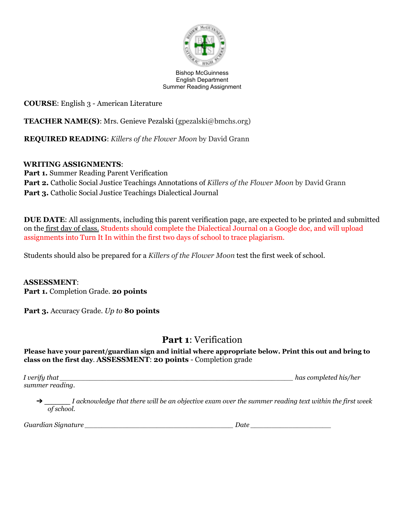

Bishop McGuinness English Department Summer Reading Assignment

**COURSE**: English 3 - American Literature

**TEACHER NAME(S)**: Mrs. Genieve Pezalski (gpezalski@bmchs.org)

**REQUIRED READING**: *Killers of the Flower Moon* by David Grann

### **WRITING ASSIGNMENTS**:

**Part 1.** Summer Reading Parent Verification **Part 2.** Catholic Social Justice Teachings Annotations of *Killers of the Flower Moon* by David Grann **Part 3.** Catholic Social Justice Teachings Dialectical Journal

**DUE DATE**: All assignments, including this parent verification page, are expected to be printed and submitted on the first day of class. Students should complete the Dialectical Journal on a Google doc, and will upload assignments into Turn It In within the first two days of school to trace plagiarism.

Students should also be prepared for a *Killers of the Flower Moon* test the first week of school.

**ASSESSMENT**:

**Part 1.** Completion Grade. **20 points**

**Part 3.** Accuracy Grade. *Up to* **80 points**

## **Part 1**: Verification

**Please have your parent/guardian sign and initial where appropriate below. Print this out and bring to class on the first day**. **ASSESSMENT**: **20 points** - Completion grade

*I verify that \_\_\_\_\_\_\_\_\_\_\_\_\_\_\_\_\_\_\_\_\_\_\_\_\_\_\_\_\_\_\_\_\_\_\_\_\_\_\_\_\_\_\_\_\_\_\_\_\_\_\_\_\_\_\_ has completed his/her summer reading.*

I acknowledge that there will be an objective exam over the summer reading text within the first week *of school.*

*Guardian Signature \_\_\_\_\_\_\_\_\_\_\_\_\_\_\_\_\_\_\_\_\_\_\_\_\_\_\_\_\_\_\_\_\_\_\_ Date \_\_\_\_\_\_\_\_\_\_\_\_\_\_\_\_\_\_\_*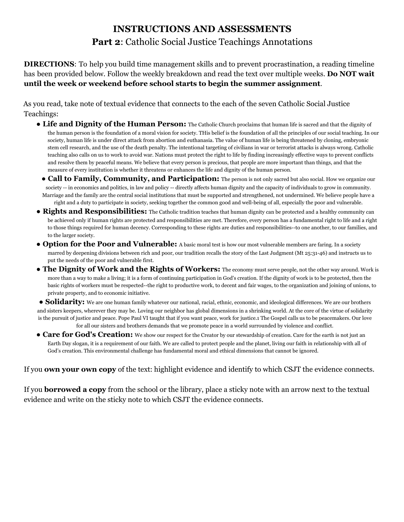# **INSTRUCTIONS AND ASSESSMENTS Part 2**: Catholic Social Justice Teachings Annotations

**DIRECTIONS**: To help you build time management skills and to prevent procrastination, a reading timeline has been provided below. Follow the weekly breakdown and read the text over multiple weeks. **Do NOT wait until the week or weekend before school starts to begin the summer assignment**.

As you read, take note of textual evidence that connects to the each of the seven Catholic Social Justice Teachings:

- **Life and Dignity of the Human Person:** The Catholic Church proclaims that human life is sacred and that the dignity of the human person is the foundation of a moral vision for society. THis belief is the foundation of all the principles of our social teaching. In our society, human life is under direct attack from abortion and euthanasia. The value of human life is being threatened by cloning, embryonic stem cell research, and the use of the death penalty. The intentional targeting of civilians in war or terrorist attacks is always wrong. Catholic teaching also calls on us to work to avoid war. Nations must protect the right to life by finding increasingly effective ways to prevent conflicts and resolve them by peaceful means. We believe that every person is precious, that people are more important than things, and that the measure of every institution is whether it threatens or enhances the life and dignity of the human person.
	- **Call to Family, Community, and Participation:** The person is not only sacred but also social. How we organize our society -- in economics and politics, in law and policy -- directly affects human dignity and the capacity of individuals to grow in community. Marriage and the family are the central social institutions that must be supported and strengthened, not undermined. We believe people have a right and a duty to participate in society, seeking together the common good and well-being of all, especially the poor and vulnerable.
- **Rights and Responsibilities:** The Catholic tradition teaches that human dignity can be protected and a healthy community can be achieved only if human rights are protected and responsibilities are met. Therefore, every person has a fundamental right to life and a right to those things required for human decency. Corresponding to these rights are duties and responsibilities--to one another, to our families, and to the larger society.
- **Option for the Poor and Vulnerable:** A basic moral test is how our most vulnerable members are faring. In a society marred by deepening divisions between rich and poor, our tradition recalls the story of the Last Judgment (Mt 25:31-46) and instructs us to put the needs of the poor and vulnerable first.
- **The Dignity of Work and the Rights of Workers:** The economy must serve people, not the other way around. Work is more than a way to make a living; it is a form of continuing participation in God's creation. If the dignity of work is to be protected, then the basic rights of workers must be respected--the right to productive work, to decent and fair wages, to the organization and joining of unions, to private property, and to economic initiative.

● **Solidarity:** We are one human family whatever our national, racial, ethnic, economic, and ideological differences. We are our brothers and sisters keepers, wherever they may be. Loving our neighbor has global dimensions in a shrinking world. At the core of the virtue of solidarity is the pursuit of justice and peace. Pope Paul VI taught that if you want peace, work for justice.1 The Gospel calls us to be peacemakers. Our love for all our sisters and brothers demands that we promote peace in a world surrounded by violence and conflict.

● **Care for God's Creation:** We show our respect for the Creator by our stewardship of creation. Care for the earth is not just an Earth Day slogan, it is a requirement of our faith. We are called to protect people and the planet, living our faith in relationship with all of God's creation. This environmental challenge has fundamental moral and ethical dimensions that cannot be ignored.

If you **own your own copy** of the text: highlight evidence and identify to which CSJT the evidence connects.

If you **borrowed a copy** from the school or the library, place a sticky note with an arrow next to the textual evidence and write on the sticky note to which CSJT the evidence connects.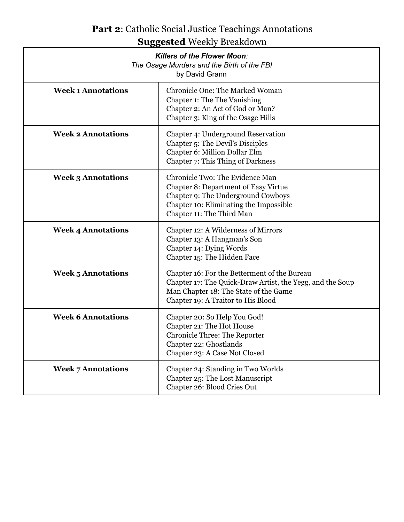# **Part 2**: Catholic Social Justice Teachings Annotations **Suggested** Weekly Breakdown

| <b>Killers of the Flower Moon:</b><br>The Osage Murders and the Birth of the FBI<br>by David Grann |                                                                                                                                                                                             |
|----------------------------------------------------------------------------------------------------|---------------------------------------------------------------------------------------------------------------------------------------------------------------------------------------------|
| <b>Week 1 Annotations</b>                                                                          | <b>Chronicle One: The Marked Woman</b><br>Chapter 1: The The Vanishing<br>Chapter 2: An Act of God or Man?<br>Chapter 3: King of the Osage Hills                                            |
| <b>Week 2 Annotations</b>                                                                          | Chapter 4: Underground Reservation<br>Chapter 5: The Devil's Disciples<br>Chapter 6: Million Dollar Elm<br>Chapter 7: This Thing of Darkness                                                |
| <b>Week 3 Annotations</b>                                                                          | Chronicle Two: The Evidence Man<br><b>Chapter 8: Department of Easy Virtue</b><br>Chapter 9: The Underground Cowboys<br>Chapter 10: Eliminating the Impossible<br>Chapter 11: The Third Man |
| <b>Week 4 Annotations</b>                                                                          | Chapter 12: A Wilderness of Mirrors<br>Chapter 13: A Hangman's Son<br>Chapter 14: Dying Words<br>Chapter 15: The Hidden Face                                                                |
| <b>Week 5 Annotations</b>                                                                          | Chapter 16: For the Betterment of the Bureau<br>Chapter 17: The Quick-Draw Artist, the Yegg, and the Soup<br>Man Chapter 18: The State of the Game<br>Chapter 19: A Traitor to His Blood    |
| <b>Week 6 Annotations</b>                                                                          | Chapter 20: So Help You God!<br>Chapter 21: The Hot House<br><b>Chronicle Three: The Reporter</b><br>Chapter 22: Ghostlands<br>Chapter 23: A Case Not Closed                                |
| <b>Week 7 Annotations</b>                                                                          | Chapter 24: Standing in Two Worlds<br>Chapter 25: The Lost Manuscript<br>Chapter 26: Blood Cries Out                                                                                        |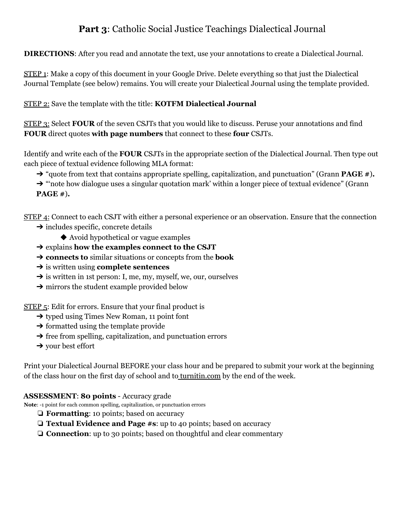## **Part 3**: Catholic Social Justice Teachings Dialectical Journal

**DIRECTIONS**: After you read and annotate the text, use your annotations to create a Dialectical Journal.

STEP 1: Make a copy of this document in your Google Drive. Delete everything so that just the Dialectical Journal Template (see below) remains. You will create your Dialectical Journal using the template provided.

STEP 2: Save the template with the title: **KOTFM Dialectical Journal**

STEP 3: Select **FOUR** of the seven CSJTs that you would like to discuss. Peruse your annotations and find **FOUR** direct quotes **with page numbers** that connect to these **four** CSJTs.

Identify and write each of the **FOUR** CSJTs in the appropriate section of the Dialectical Journal. Then type out each piece of textual evidence following MLA format:

➔ "quote from text that contains appropriate spelling, capitalization, and punctuation" (Grann **PAGE #**)**.**

 $\rightarrow$  "note how dialogue uses a singular quotation mark' within a longer piece of textual evidence" (Grann **PAGE #**)**.**

STEP 4: Connect to each CSJT with either a personal experience or an observation. Ensure that the connection  $\rightarrow$  includes specific, concrete details

- ◆ Avoid hypothetical or vague examples
- ➔ explains **how the examples connect to the CSJT**
- ➔ **connects to** similar situations or concepts from the **book**
- ➔ is written using **complete sentences**
- $\rightarrow$  is written in 1st person: I, me, my, myself, we, our, ourselves
- **→** mirrors the student example provided below

STEP 5: Edit for errors. Ensure that your final product is

- ➔ typed using Times New Roman, 11 point font
- $\rightarrow$  formatted using the template provide
- $\rightarrow$  free from spelling, capitalization, and punctuation errors
- $\rightarrow$  your best effort

Print your Dialectical Journal BEFORE your class hour and be prepared to submit your work at the beginning of the class hour on the first day of school and to turnitin.com by the end of the week.

### **ASSESSMENT**: **80 points** - Accuracy grade

**Note**: -1 point for each common spelling, capitalization, or punctuation errors

- ❏ **Formatting**: 10 points; based on accuracy
- ❏ **Textual Evidence and Page #s**: up to 40 points; based on accuracy
- ❏ **Connection**: up to 30 points; based on thoughtful and clear commentary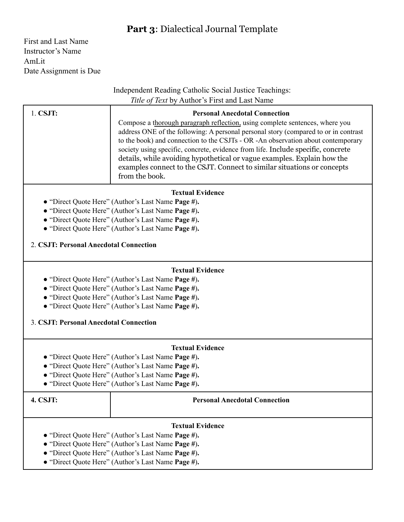## **Part 3**: Dialectical Journal Template

First and Last Name Instructor's Name AmLit Date Assignment is Due

### Independent Reading Catholic Social Justice Teachings: *Title of Text* by Author's First and Last Name

| $1.$ CSJT: | <b>Personal Anecdotal Connection</b>                                                                                                                                                                                                                                                                                                                                                                                                                                                                                |
|------------|---------------------------------------------------------------------------------------------------------------------------------------------------------------------------------------------------------------------------------------------------------------------------------------------------------------------------------------------------------------------------------------------------------------------------------------------------------------------------------------------------------------------|
|            | Compose a thorough paragraph reflection, using complete sentences, where you<br>address ONE of the following: A personal personal story (compared to or in contrast<br>to the book) and connection to the CSJTs - OR -An observation about contemporary<br>society using specific, concrete, evidence from life. Include specific, concrete<br>details, while avoiding hypothetical or vague examples. Explain how the<br>examples connect to the CSJT. Connect to similar situations or concepts<br>from the book. |

### **Textual Evidence**

- "Direct Quote Here" (Author's Last Name **Page #**)**.**
- "Direct Quote Here" (Author's Last Name **Page #**)**.**
- "Direct Quote Here" (Author's Last Name **Page #**)**.**
- **●** "Direct Quote Here" (Author's Last Name **Page #**)**.**

2. **CSJT: Personal Anecdotal Connection**

### **Textual Evidence**

- "Direct Quote Here" (Author's Last Name **Page #**)**.**
- "Direct Quote Here" (Author's Last Name **Page #**)**.**
- "Direct Quote Here" (Author's Last Name **Page #**)**.**
- **●** "Direct Quote Here" (Author's Last Name **Page #**)**.**

3. **CSJT: Personal Anecdotal Connection**

### **Textual Evidence**

- "Direct Quote Here" (Author's Last Name **Page #**)**.**
- "Direct Quote Here" (Author's Last Name **Page #**)**.**
- "Direct Quote Here" (Author's Last Name **Page #**)**.**
- **●** "Direct Quote Here" (Author's Last Name **Page #**)**.**

| <b>4. CSJT:</b>                                         | <b>Personal Anecdotal Connection</b>               |
|---------------------------------------------------------|----------------------------------------------------|
|                                                         | <b>Textual Evidence</b>                            |
|                                                         | • "Direct Quote Here" (Author's Last Name Page #). |
|                                                         | • "Direct Quote Here" (Author's Last Name Page #). |
|                                                         | • "Direct Quote Here" (Author's Last Name Page #). |
| $\sim$ "Direct Overte Hars" (Asthan's Leet Name Dage 4) |                                                    |

**●** "Direct Quote Here" (Author's Last Name **Page #**)**.**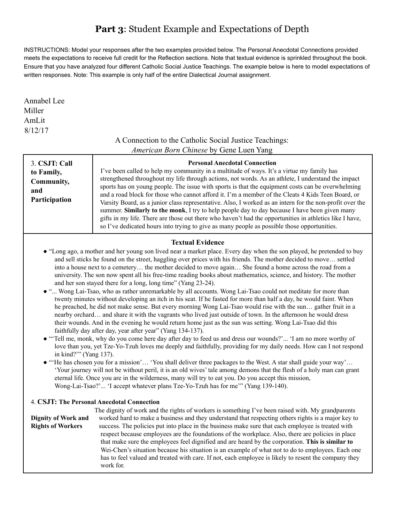## **Part 3**: Student Example and Expectations of Depth

INSTRUCTIONS: Model your responses after the two examples provided below. The Personal Anecdotal Connections provided meets the expectations to receive full credit for the Reflection sections. Note that textual evidence is sprinkled throughout the book. Ensure that you have analyzed four different Catholic Social Justice Teachings. The example below is here to model expectations of written responses. Note: This example is only half of the entire Dialectical Journal assignment.

Annabel Lee Miller AmLit 8/12/17

## A Connection to the Catholic Social Justice Teachings: *American Born Chinese* by Gene Luen Yang

| 3. CSJT: Call<br>to Family,<br>Community,<br>and<br>Participation                                                                                                                                                                                                                                                                                                                                                                                                                                                                                                                                                                                                                                                                                                                                                                                                                                                                                                                                                                                                                                                                                                                                                                                                                                                                                                                                                                                                                                                                                                                                                                                                                                                                                                                                                                                                                                                                     | <b>Personal Anecdotal Connection</b><br>I've been called to help my community in a multitude of ways. It's a virtue my family has<br>strengthened throughout my life through actions, not words. As an athlete, I understand the impact<br>sports has on young people. The issue with sports is that the equipment costs can be overwhelming<br>and a road block for those who cannot afford it. I'm a member of the Cleats 4 Kids Teen Board, or<br>Varsity Board, as a junior class representative. Also, I worked as an intern for the non-profit over the<br>summer. Similarly to the monk, I try to help people day to day because I have been given many<br>gifts in my life. There are those out there who haven't had the opportunities in athletics like I have,<br>so I've dedicated hours into trying to give as many people as possible those opportunities. |
|---------------------------------------------------------------------------------------------------------------------------------------------------------------------------------------------------------------------------------------------------------------------------------------------------------------------------------------------------------------------------------------------------------------------------------------------------------------------------------------------------------------------------------------------------------------------------------------------------------------------------------------------------------------------------------------------------------------------------------------------------------------------------------------------------------------------------------------------------------------------------------------------------------------------------------------------------------------------------------------------------------------------------------------------------------------------------------------------------------------------------------------------------------------------------------------------------------------------------------------------------------------------------------------------------------------------------------------------------------------------------------------------------------------------------------------------------------------------------------------------------------------------------------------------------------------------------------------------------------------------------------------------------------------------------------------------------------------------------------------------------------------------------------------------------------------------------------------------------------------------------------------------------------------------------------------|--------------------------------------------------------------------------------------------------------------------------------------------------------------------------------------------------------------------------------------------------------------------------------------------------------------------------------------------------------------------------------------------------------------------------------------------------------------------------------------------------------------------------------------------------------------------------------------------------------------------------------------------------------------------------------------------------------------------------------------------------------------------------------------------------------------------------------------------------------------------------|
| <b>Textual Evidence</b><br>• "Long ago, a mother and her young son lived near a market place. Every day when the son played, he pretended to buy<br>and sell sticks he found on the street, haggling over prices with his friends. The mother decided to move settled<br>into a house next to a cemetery the mother decided to move again She found a home across the road from a<br>university. The son now spent all his free-time reading books about mathematics, science, and history. The mother<br>and her son stayed there for a long, long time" (Yang 23-24).<br>• " Wong Lai-Tsao, who as rather unremarkable by all accounts. Wong Lai-Tsao could not meditate for more than<br>twenty minutes without developing an itch in his seat. If he fasted for more than half a day, he would faint. When<br>he preached, he did not make sense. But every morning Wong Lai-Tsao would rise with the sun gather fruit in a<br>nearby orchard and share it with the vagrants who lived just outside of town. In the afternoon he would dress<br>their wounds. And in the evening he would return home just as the sun was setting. Wong Lai-Tsao did this<br>faithfully day after day, year after year" (Yang 134-137).<br>• "Tell me, monk, why do you come here day after day to feed us and dress our wounds?" 'I am no more worthy of<br>love than you, yet Tze-Yo-Tzuh loves me deeply and faithfully, providing for my daily needs. How can I not respond<br>in kind?"" (Yang 137).<br>• "He has chosen you for a mission' 'You shall deliver three packages to the West. A star shall guide your way'<br>'Your journey will not be without peril, it is an old wives' tale among demons that the flesh of a holy man can grant<br>eternal life. Once you are in the wilderness, many will try to eat you. Do you accept this mission,<br>Wong-Lai-Tsao?' 'I accept whatever plans Tze-Yo-Tzuh has for me'" (Yang 139-140). |                                                                                                                                                                                                                                                                                                                                                                                                                                                                                                                                                                                                                                                                                                                                                                                                                                                                          |
| <b>Dignity of Work and</b><br><b>Rights of Workers</b>                                                                                                                                                                                                                                                                                                                                                                                                                                                                                                                                                                                                                                                                                                                                                                                                                                                                                                                                                                                                                                                                                                                                                                                                                                                                                                                                                                                                                                                                                                                                                                                                                                                                                                                                                                                                                                                                                | 4. CSJT: The Personal Anecdotal Connection<br>The dignity of work and the rights of workers is something I've been raised with. My grandparents<br>worked hard to make a business and they understand that respecting others rights is a major key to<br>success. The policies put into place in the business make sure that each employee is treated with<br>respect because employees are the foundations of the workplace. Also, there are policies in place<br>that make sure the employees feel dignified and are heard by the corporation. This is similar to<br>Wei-Chen's situation because his situation is an example of what not to do to employees. Each one<br>has to feel valued and treated with care. If not, each employee is likely to resent the company they<br>work for.                                                                            |